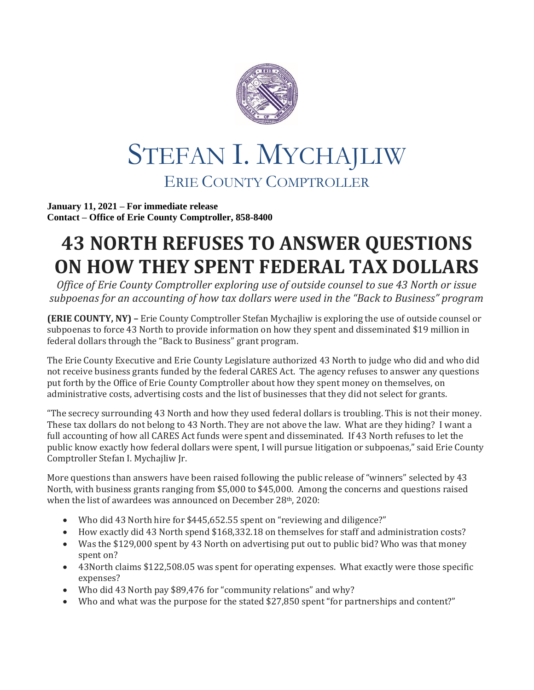

## STEFAN I. MYCHAJLIW ERIE COUNTY COMPTROLLER

**January 11, 2021 – For immediate release Contact – Office of Erie County Comptroller, 858-8400**

## **43 NORTH REFUSES TO ANSWER QUESTIONS ON HOW THEY SPENT FEDERAL TAX DOLLARS**

*Office of Erie County Comptroller exploring use of outside counsel to sue 43 North or issue subpoenas for an accounting of how tax dollars were used in the "Back to Business" program*

**(ERIE COUNTY, NY) –** Erie County Comptroller Stefan Mychajliw is exploring the use of outside counsel or subpoenas to force 43 North to provide information on how they spent and disseminated \$19 million in federal dollars through the "Back to Business" grant program.

The Erie County Executive and Erie County Legislature authorized 43 North to judge who did and who did not receive business grants funded by the federal CARES Act. The agency refuses to answer any questions put forth by the Office of Erie County Comptroller about how they spent money on themselves, on administrative costs, advertising costs and the list of businesses that they did not select for grants.

"The secrecy surrounding 43 North and how they used federal dollars is troubling. This is not their money. These tax dollars do not belong to 43 North. They are not above the law. What are they hiding? I want a full accounting of how all CARES Act funds were spent and disseminated. If 43 North refuses to let the public know exactly how federal dollars were spent, I will pursue litigation or subpoenas," said Erie County Comptroller Stefan I. Mychajliw Jr.

More questions than answers have been raised following the public release of "winners" selected by 43 North, with business grants ranging from \$5,000 to \$45,000. Among the concerns and questions raised when the list of awardees was announced on December 28th, 2020:

- Who did 43 North hire for \$445,652.55 spent on "reviewing and diligence?"
- How exactly did 43 North spend \$168,332.18 on themselves for staff and administration costs?
- Was the \$129,000 spent by 43 North on advertising put out to public bid? Who was that money spent on?
- 43North claims \$122,508.05 was spent for operating expenses. What exactly were those specific expenses?
- Who did 43 North pay \$89,476 for "community relations" and why?
- Who and what was the purpose for the stated \$27,850 spent "for partnerships and content?"